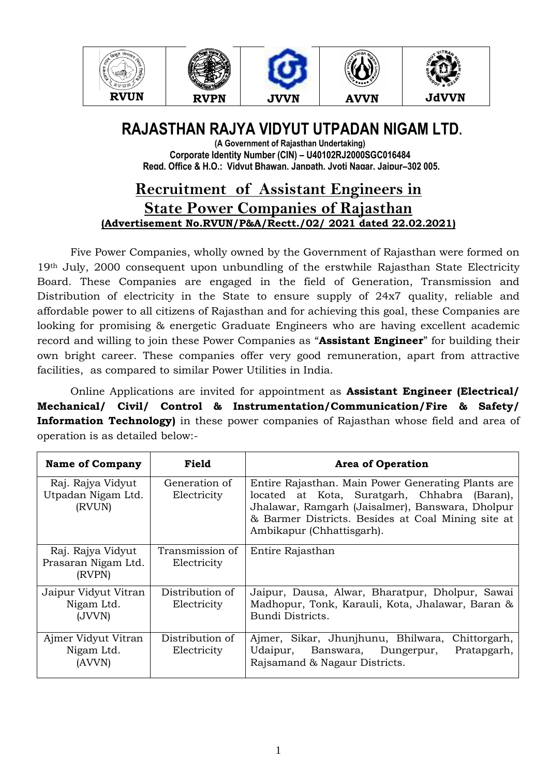

# **RAJASTHAN RAJYA VIDYUT UTPADAN NIGAM LTD.**

**(A Government of Rajasthan Undertaking) Corporate Identity Number (CIN) – U40102RJ2000SGC016484 Regd. Office & H.O.: Vidyut Bhawan, Janpath, Jyoti Nagar, Jaipur–302 005.**

## **Recruitment of Assistant Engineers in State Power Companies of Rajasthan (Advertisement No.RVUN/P&A/Rectt./02/ 2021 dated 22.02.2021)**

Five Power Companies, wholly owned by the Government of Rajasthan were formed on 19th July, 2000 consequent upon unbundling of the erstwhile Rajasthan State Electricity Board. These Companies are engaged in the field of Generation, Transmission and Distribution of electricity in the State to ensure supply of 24x7 quality, reliable and affordable power to all citizens of Rajasthan and for achieving this goal, these Companies are looking for promising & energetic Graduate Engineers who are having excellent academic record and willing to join these Power Companies as "**Assistant Engineer**" for building their own bright career. These companies offer very good remuneration, apart from attractive facilities, as compared to similar Power Utilities in India.

Online Applications are invited for appointment as **Assistant Engineer (Electrical/ Mechanical/ Civil/ Control & Instrumentation/Communication/Fire & Safety/ Information Technology)** in these power companies of Rajasthan whose field and area of operation is as detailed below:-

| <b>Name of Company</b>                             | Field                          | <b>Area of Operation</b>                                                                                                                                                                                                                  |
|----------------------------------------------------|--------------------------------|-------------------------------------------------------------------------------------------------------------------------------------------------------------------------------------------------------------------------------------------|
| Raj. Rajya Vidyut<br>Utpadan Nigam Ltd.<br>(RVUN)  | Generation of<br>Electricity   | Entire Rajasthan. Main Power Generating Plants are<br>located at Kota, Suratgarh, Chhabra (Baran),<br>Jhalawar, Ramgarh (Jaisalmer), Banswara, Dholpur<br>& Barmer Districts. Besides at Coal Mining site at<br>Ambikapur (Chhattisgarh). |
| Raj. Rajya Vidyut<br>Prasaran Nigam Ltd.<br>(RVPN) | Transmission of<br>Electricity | Entire Rajasthan                                                                                                                                                                                                                          |
| Jaipur Vidyut Vitran<br>Nigam Ltd.<br>(JVVN)       | Distribution of<br>Electricity | Jaipur, Dausa, Alwar, Bharatpur, Dholpur, Sawai<br>Madhopur, Tonk, Karauli, Kota, Jhalawar, Baran &<br>Bundi Districts.                                                                                                                   |
| Ajmer Vidyut Vitran<br>Nigam Ltd.<br>(AVVN)        | Distribution of<br>Electricity | Ajmer, Sikar, Jhunjhunu, Bhilwara,<br>Chittorgarh,<br>Pratapgarh,<br>Udaipur, Banswara, Dungerpur,<br>Rajsamand & Nagaur Districts.                                                                                                       |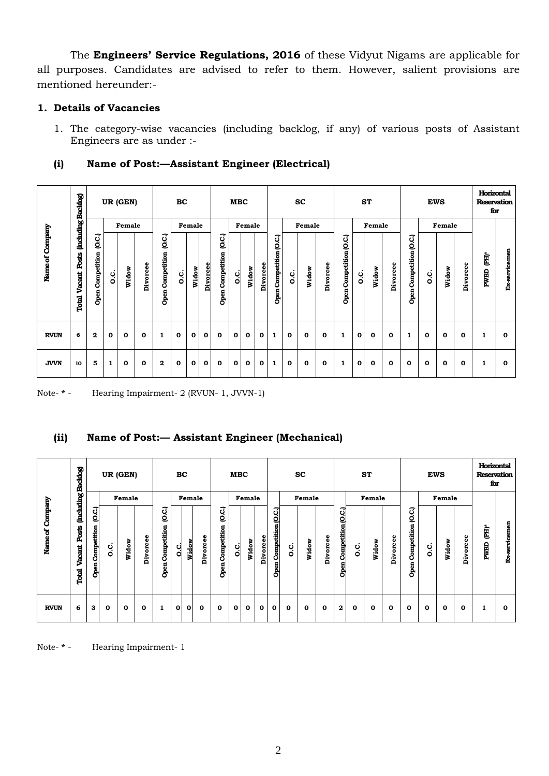The **Engineers' Service Regulations, 2016** of these Vidyut Nigams are applicable for all purposes. Candidates are advised to refer to them. However, salient provisions are mentioned hereunder:-

#### **1. Details of Vacancies**

1. The category-wise vacancies (including backlog, if any) of various posts of Assistant Engineers are as under :-

|                 | (including Backlog)          |                                   |                | UR (GEN)    |             |                               | BC          |        |              |                               | MBC          |        |             |                         |             | <b>SC</b>   |              |                         |         | <b>ST</b> |          |                         | <b>EWS</b>  |        |          | Horizontal<br><b>Reservation</b><br>for |               |
|-----------------|------------------------------|-----------------------------------|----------------|-------------|-------------|-------------------------------|-------------|--------|--------------|-------------------------------|--------------|--------|-------------|-------------------------|-------------|-------------|--------------|-------------------------|---------|-----------|----------|-------------------------|-------------|--------|----------|-----------------------------------------|---------------|
|                 |                              |                                   |                | Female      |             |                               |             | Female |              |                               |              | Female |             |                         |             | Female      |              |                         |         | Female    |          |                         |             | Female |          |                                         |               |
| Name of Company | <b>Vacant Posts</b><br>Total | (0.C.)<br><b>Open Competition</b> | $\overline{0}$ | Widow       | Divorcee    | (O.C.)<br>Competition<br>Open | c.c         | Widow  | Divorcee     | (0.C.)<br>Competition<br>Open | ပ္ပါ         | Widow  | Divorcee    | Open Competition (O.C.) | c.          | Widow       | Divorcee     | Open Competition (O.C.) | c.<br>O | Widow     | Divorcee | Open Competition (O.C.) | c.          | Widow  | Divorcee | Ê<br>PWBD                               | Ex-servicemen |
| <b>RVUN</b>     | 6                            | 2                                 | 0              | 0           | $\mathbf o$ | 1                             | $\mathbf 0$ | 0      | $\mathbf{o}$ | $\mathbf 0$                   | $\mathbf{o}$ | 0      | $\mathbf 0$ | 1                       | $\mathbf 0$ | $\mathbf 0$ | $\mathbf{o}$ | 1                       | 0       | 0         | 0        | 1                       | $\bf{0}$    | 0      | 0        | $\mathbf{1}$                            | 0             |
| <b>JVVN</b>     | 10                           | 5                                 | $\mathbf{1}$   | $\mathbf 0$ | $\mathbf o$ | 2                             | $\mathbf 0$ | 0      | $\mathbf 0$  | O                             | 0            | 0      | $\mathbf 0$ | 1                       | $\bf{0}$    | $\mathbf 0$ | $\mathbf 0$  | 1                       | 0       | 0         | 0        | 0                       | $\mathbf 0$ | 0      | O        | 1                                       | 0             |

#### **(i) Name of Post:—Assistant Engineer (Electrical)**

Note- **\*** - Hearing Impairment- 2 (RVUN- 1, JVVN-1)

#### **(ii) Name of Post:— Assistant Engineer (Mechanical)**

|                    | <b>Backlog</b>                               |                           |     | UR (GEN)     |          |                               | BC           |        |             |                               | <b>MBC</b>   |              |                 |                                  |     | SC           |          |                            |     | ST          |          |                         |             | <b>EWS</b> |              | Horizontal<br><b>Reservation</b><br>for |                 |
|--------------------|----------------------------------------------|---------------------------|-----|--------------|----------|-------------------------------|--------------|--------|-------------|-------------------------------|--------------|--------------|-----------------|----------------------------------|-----|--------------|----------|----------------------------|-----|-------------|----------|-------------------------|-------------|------------|--------------|-----------------------------------------|-----------------|
|                    |                                              |                           |     | Female       |          |                               |              | Female |             |                               |              | Female       |                 |                                  |     | Female       |          |                            |     | Female      |          |                         |             | Female     |              |                                         |                 |
| Company<br>Name of | <b>finduding</b><br>Posts<br>Vacant<br>Total | [0.C.<br>Open Competition | c.c | Widow        | Divorcee | (O.C.)<br>Competition<br>Open | ن<br>ol      | Widow  | Divorcee    | (0.C.)<br>Competition<br>Open | ci<br>o      | Widow        | <b>Divorcee</b> | <u>[0.C)</u><br>Open Competition | c.c | Widow        | Divorcee | Competition (O.C.)<br>Open | ပ္ပ | Widow       | Divorcee | Open Competition (O.C.) | c.          | Widow      | 8<br>Divorce | È<br>PWBD                               | servicemen<br>Å |
| <b>RVUN</b>        | 6                                            | 3                         | 0   | $\mathbf{o}$ | 0        | 1                             | $\mathbf{o}$ | 0      | $\mathbf 0$ | $\bf{0}$                      | $\mathbf{o}$ | $\mathbf{o}$ | $\mathbf{o}$    | 0                                | 0   | $\mathbf{o}$ | 0        | $\mathbf{2}$               | 0   | $\mathbf 0$ | 0        | 0                       | $\mathbf 0$ | 0          | $\mathbf{o}$ | 1                                       | 0               |

Note- **\*** - Hearing Impairment- 1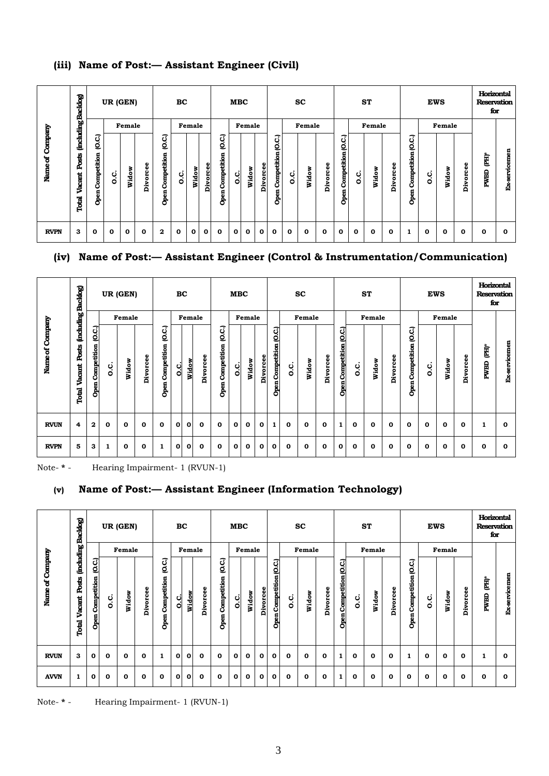### **(iii) Name of Post:— Assistant Engineer (Civil)**

|                    | (including Backlog)      |                              | UR (GEN) |              |          |                               | BC          |             |                 |                              | <b>MBC</b>   |        |                 |                                         |     | SC          |              |                         |     | ST     |          |                                     | <b>EWS</b>       |        |             | Horizontal<br><b>Reservation</b><br>for |                 |
|--------------------|--------------------------|------------------------------|----------|--------------|----------|-------------------------------|-------------|-------------|-----------------|------------------------------|--------------|--------|-----------------|-----------------------------------------|-----|-------------|--------------|-------------------------|-----|--------|----------|-------------------------------------|------------------|--------|-------------|-----------------------------------------|-----------------|
|                    |                          |                              |          | Female       |          |                               |             | Female      |                 |                              |              | Female |                 |                                         |     | Female      |              |                         |     | Female |          |                                     |                  | Female |             |                                         |                 |
| Company<br>Name of | Posts<br>Vacant<br>Total | O.C.)<br>Competition<br>Open | c.       | Widow        | Divorcee | (O.C.)<br>Competition<br>Open | o.c         | Widow       | <b>Divorcee</b> | (O.C.<br>Competition<br>Open | ပ္ပါ         | Widow  | <b>Divorcee</b> | Competition (O.C.)<br>Open <sup>o</sup> | o.c | Widow       | Divorcee     | Open Competition (O.C.) | ပ္ပ | Widow  | Divorcee | <b>O.C.)</b><br>Competition<br>Open | $\bullet$<br>o.c | Widow  | Divorcee    | È<br>PWBD                               | servicemen<br>Å |
| <b>RVPN</b>        | З                        | $\mathbf 0$                  | 0        | $\mathbf{o}$ | 0        | $\mathbf{2}$                  | $\mathbf 0$ | $\mathbf 0$ | $\mathbf{o}$    | 0                            | $\mathbf{o}$ | 0      | 0               | 0                                       | 0   | $\mathbf 0$ | $\mathbf{o}$ | 0                       | 0   | 0      | 0        |                                     | $\mathbf 0$      | 0      | $\mathbf 0$ | $\bf{0}$                                | 0               |

## **(iv) Name of Post:— Assistant Engineer (Control & Instrumentation/Communication)**

|                    | (including Backlog)      |                                       |         | UR (GEN) |          |                               | BC     |          |          |                              | <b>MBC</b> |        |          |                         |                  | SC     |          |                               |        | ST     |                 |                            | <b>EWS</b>  |        |             | Horizontal<br><b>Reservation</b><br>for |                 |
|--------------------|--------------------------|---------------------------------------|---------|----------|----------|-------------------------------|--------|----------|----------|------------------------------|------------|--------|----------|-------------------------|------------------|--------|----------|-------------------------------|--------|--------|-----------------|----------------------------|-------------|--------|-------------|-----------------------------------------|-----------------|
|                    |                          |                                       |         | Female   |          |                               |        | Female   |          |                              |            | Female |          |                         |                  | Female |          |                               |        | Female |                 |                            |             | Female |             |                                         |                 |
| Company<br>Name of | Posts<br>Vacant<br>Total | <u>GC)</u><br><b>Open Competition</b> | c.<br>O | Widow    | Divorcee | (O.C.)<br>Competition<br>Open | ن<br>أ | dow<br>É | Divorcee | (O.C.<br>Competition<br>Open | ن<br>ol    | Widow  | Divorcee | Open Competition (O.C.) | $\bullet$<br>o.c | Widow  | Divorcee | (0.C.)<br>Competition<br>Open | ن<br>ס | Widow  | <b>Divorcee</b> | Competition (O.C.)<br>Open | c.c         | Widow  | Divorcee    | È<br>PWBD                               | servicemen<br>ά |
| <b>RVUN</b>        | 4                        | $\mathbf{2}$                          | 0       | 0        | 0        | $\mathbf o$                   | 0      | 0        | 0        | 0                            | 0          | 0      | 0        | 1                       | $\bf{0}$         | 0      | 0        | 1                             | 0      | 0      | $\bf{0}$        | $\mathbf o$                | $\mathbf 0$ | 0      | $\mathbf 0$ | 1                                       | 0               |
| <b>RVPN</b>        | 5                        | 3                                     | 1       | $\Omega$ | 0        | 1                             | 0      | 0        | 0        | 0                            | 0          | 0      | 0        | 0                       | $\mathbf 0$      | 0      | $\Omega$ | 0                             | 0      | 0      | 0               | $\mathbf o$                | $\Omega$    | Ω      | 0           | $\bf{0}$                                | 0               |

Note- **\*** - Hearing Impairment- 1 (RVUN-1)

## **(v) Name of Post:— Assistant Engineer (Information Technology)**

|                 |                                                 |                                       |     | UR (GEN)        |          |                              | BC     |                     |          |                              | <b>MBC</b> |                 |          |                         |        | <b>SC</b>       |          |                         |         | ST              |          |                         | <b>EWS</b>   |                 |              | Horizontal<br><b>Reservation</b><br>for |               |
|-----------------|-------------------------------------------------|---------------------------------------|-----|-----------------|----------|------------------------------|--------|---------------------|----------|------------------------------|------------|-----------------|----------|-------------------------|--------|-----------------|----------|-------------------------|---------|-----------------|----------|-------------------------|--------------|-----------------|--------------|-----------------------------------------|---------------|
| Name of Company | (including Backlog)<br>Posts<br>Vacant<br>Total | <u>GC)</u><br><b>Open Competition</b> | c.c | Female<br>Widow | Divorcee | O.C.)<br>Competition<br>Open | ن<br>o | Female<br>है<br>Wid | Divorcee | O.C.)<br>Competition<br>Open | ci<br>O    | Female<br>Widow | Divorcee | Open Competition (O.C.) | ن<br>٥ | Female<br>Widow | Divorcee | Open Competition (O.C.) | c.<br>O | Female<br>Widow | Divorcee | Open Competition (O.C.) | ن<br>ە       | Female<br>Widow | Divorcee     | È<br>PWBD                               | Ex-servicemen |
| <b>RVUN</b>     | 3                                               | 0                                     | 0   | 0               | $\Omega$ | 1                            | 0      | 0                   | $\Omega$ | 0                            | 0          | 0               | 0        | 0                       | 0      | 0               | 0        | 1                       | 0       | $\bf{0}$        | 0        |                         | $\mathbf{o}$ | 0               | $\mathbf{o}$ | $\mathbf{1}$                            | 0             |
| <b>AVVN</b>     | 1                                               | 0                                     | 0   | 0               | 0        | 0                            | 0      | 0                   | 0        | 0                            | 0          | 0               | 0        | 0                       | 0      | 0               | 0        | 1                       | 0       | 0               | 0        | 0                       | $\mathbf{o}$ | $\mathbf o$     | $\mathbf{o}$ | 0                                       | 0             |

Note- **\*** - Hearing Impairment- 1 (RVUN-1)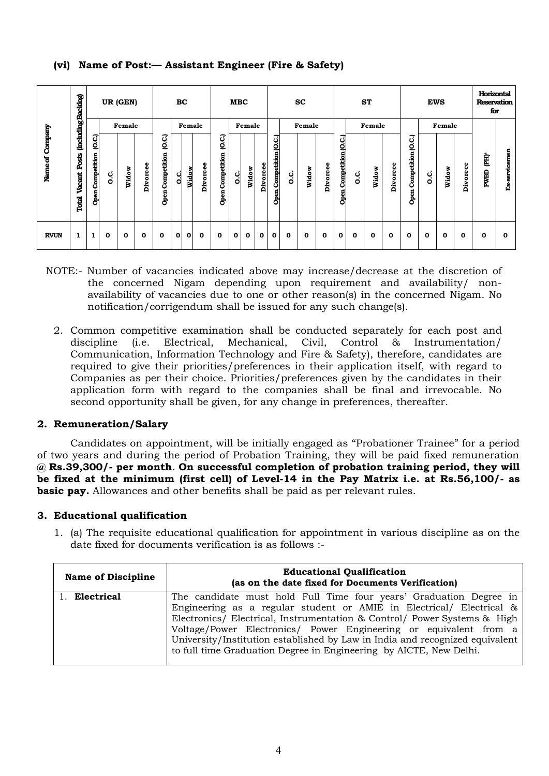**(vi) Name of Post:— Assistant Engineer (Fire & Safety)**

|                    | Backlog                                             |                                   |         | UR (GEN)     |          |                               | BC     |                 |          |                               | <b>MBC</b>       |        |              |                            |                      | SC     |              |                         |     | ST     |          |                         |         | <b>EWS</b> |             | Horizontal<br><b>Reservation</b><br>for |                 |
|--------------------|-----------------------------------------------------|-----------------------------------|---------|--------------|----------|-------------------------------|--------|-----------------|----------|-------------------------------|------------------|--------|--------------|----------------------------|----------------------|--------|--------------|-------------------------|-----|--------|----------|-------------------------|---------|------------|-------------|-----------------------------------------|-----------------|
|                    |                                                     |                                   |         | Female       |          |                               |        | Female          |          |                               |                  | Female |              |                            |                      | Female |              |                         |     | Female |          |                         |         | Female     |             |                                         |                 |
| Company<br>Name of | <b><i>finduding</i></b><br>Posts<br>Vacant<br>Total | <u>GC)</u><br>Competition<br>Open | c.<br>O | Widow        | Divorcee | (O.C.)<br>Competition<br>Open | ن<br>أ | 히<br><b>Nid</b> | Divorcee | (O.C.)<br>Competition<br>Open | $rac{c}{\sigma}$ | Widow  | Divorcee     | (0.C.)<br>Open Competition | $\bullet$<br>c.<br>o | Widow  | Divorcee     | Open Competition (O.C.) | o.c | Widow  | Divorcee | Open Competition (O.C.) | c.<br>O | Widow      | 8<br>Divorc | È<br>PWBD                               | servicemen<br>Ä |
| <b>RVUN</b>        | 1                                                   | 1                                 | 0       | $\mathbf{o}$ | 0        | 0                             | 0      | O               | 0        | $\mathbf o$                   | 0                | 0      | $\mathbf{o}$ | 0                          | 0                    | 0      | $\mathbf{o}$ | $\mathbf 0$             | 0   | 0      | 0        | 0                       | 0       | 0          | 0           | 0                                       | 0               |

NOTE:- Number of vacancies indicated above may increase/decrease at the discretion of the concerned Nigam depending upon requirement and availability/ nonavailability of vacancies due to one or other reason(s) in the concerned Nigam. No notification/corrigendum shall be issued for any such change(s).

2. Common competitive examination shall be conducted separately for each post and discipline (i.e. Electrical, Mechanical, Civil, Control & Instrumentation/ Communication, Information Technology and Fire & Safety), therefore, candidates are required to give their priorities/preferences in their application itself, with regard to Companies as per their choice. Priorities/preferences given by the candidates in their application form with regard to the companies shall be final and irrevocable. No second opportunity shall be given, for any change in preferences, thereafter.

## **2. Remuneration/Salary**

Candidates on appointment, will be initially engaged as "Probationer Trainee" for a period of two years and during the period of Probation Training, they will be paid fixed remuneration **@ Rs.39,300/- per month**. **On successful completion of probation training period, they will be fixed at the minimum (first cell) of Level-14 in the Pay Matrix i.e. at Rs.56,100/- as basic pay.** Allowances and other benefits shall be paid as per relevant rules.

## **3. Educational qualification**

1. (a) The requisite educational qualification for appointment in various discipline as on the date fixed for documents verification is as follows :-

| <b>Name of Discipline</b> | <b>Educational Qualification</b><br>(as on the date fixed for Documents Verification)                                                                                                                                                                                                                                                                                                                                                             |
|---------------------------|---------------------------------------------------------------------------------------------------------------------------------------------------------------------------------------------------------------------------------------------------------------------------------------------------------------------------------------------------------------------------------------------------------------------------------------------------|
| 1. Electrical             | The candidate must hold Full Time four years' Graduation Degree in<br>Engineering as a regular student or AMIE in Electrical/ Electrical &<br>Electronics/ Electrical, Instrumentation & Control/ Power Systems & High<br>Voltage/Power Electronics/ Power Engineering or equivalent from a<br>University/Institution established by Law in India and recognized equivalent<br>to full time Graduation Degree in Engineering by AICTE, New Delhi. |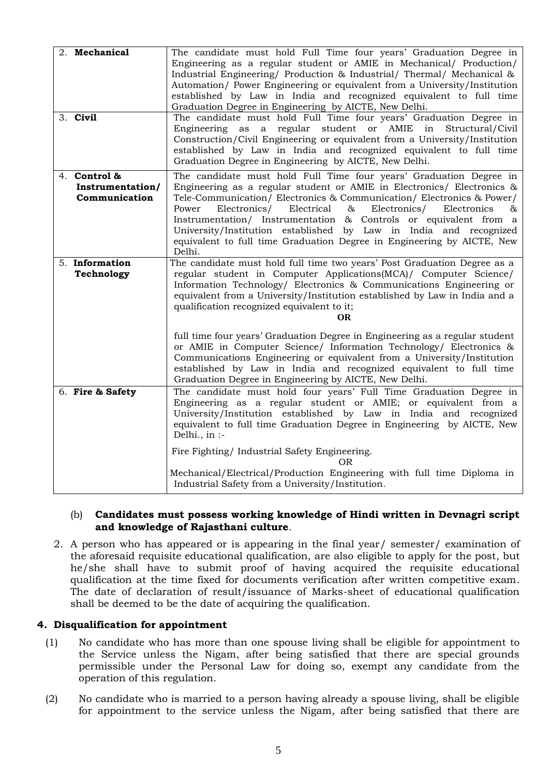| 2. Mechanical<br>3. Civil                         | The candidate must hold Full Time four years' Graduation Degree in<br>Engineering as a regular student or AMIE in Mechanical/ Production/<br>Industrial Engineering/ Production & Industrial/ Thermal/ Mechanical &<br>Automation/ Power Engineering or equivalent from a University/Institution<br>established by Law in India and recognized equivalent to full time<br>Graduation Degree in Engineering by AICTE, New Delhi.<br>The candidate must hold Full Time four years' Graduation Degree in<br>regular student or AMIE<br>Engineering as<br>a<br>in<br>Structural/Civil<br>Construction/Civil Engineering or equivalent from a University/Institution<br>established by Law in India and recognized equivalent to full time<br>Graduation Degree in Engineering by AICTE, New Delhi. |
|---------------------------------------------------|------------------------------------------------------------------------------------------------------------------------------------------------------------------------------------------------------------------------------------------------------------------------------------------------------------------------------------------------------------------------------------------------------------------------------------------------------------------------------------------------------------------------------------------------------------------------------------------------------------------------------------------------------------------------------------------------------------------------------------------------------------------------------------------------|
| 4. Control &<br>Instrumentation/<br>Communication | The candidate must hold Full Time four years' Graduation Degree in<br>Engineering as a regular student or AMIE in Electronics/ Electronics &<br>Tele-Communication/ Electronics & Communication/ Electronics & Power/<br>Electronics/<br>Electrical<br>$\&$<br>Electronics/<br>Electronics<br>Power<br>85<br>Instrumentation/ Instrumentation & Controls or equivalent from a<br>University/Institution established by Law in India and recognized<br>equivalent to full time Graduation Degree in Engineering by AICTE, New<br>Delhi.                                                                                                                                                                                                                                                         |
| 5. Information<br>Technology                      | The candidate must hold full time two years' Post Graduation Degree as a<br>regular student in Computer Applications(MCA)/ Computer Science/<br>Information Technology/ Electronics & Communications Engineering or<br>equivalent from a University/Institution established by Law in India and a<br>qualification recognized equivalent to it;<br><b>OR</b>                                                                                                                                                                                                                                                                                                                                                                                                                                   |
|                                                   | full time four years' Graduation Degree in Engineering as a regular student<br>or AMIE in Computer Science/ Information Technology/ Electronics &<br>Communications Engineering or equivalent from a University/Institution<br>established by Law in India and recognized equivalent to full time<br>Graduation Degree in Engineering by AICTE, New Delhi.                                                                                                                                                                                                                                                                                                                                                                                                                                     |
| 6. Fire & Safety                                  | The candidate must hold four years' Full Time Graduation Degree in<br>Engineering as a regular student or AMIE; or equivalent from a<br>University/Institution established by Law in India and recognized<br>equivalent to full time Graduation Degree in Engineering by AICTE, New<br>Delhi., in :-                                                                                                                                                                                                                                                                                                                                                                                                                                                                                           |
|                                                   | Fire Fighting/Industrial Safety Engineering.<br>OR.<br>Mechanical/Electrical/Production Engineering with full time Diploma in<br>Industrial Safety from a University/Institution.                                                                                                                                                                                                                                                                                                                                                                                                                                                                                                                                                                                                              |

#### (b) **Candidates must possess working knowledge of Hindi written in Devnagri script and knowledge of Rajasthani culture**.

2. A person who has appeared or is appearing in the final year/ semester/ examination of the aforesaid requisite educational qualification, are also eligible to apply for the post, but he/she shall have to submit proof of having acquired the requisite educational qualification at the time fixed for documents verification after written competitive exam. The date of declaration of result/issuance of Marks-sheet of educational qualification shall be deemed to be the date of acquiring the qualification.

#### **4. Disqualification for appointment**

- (1) No candidate who has more than one spouse living shall be eligible for appointment to the Service unless the Nigam, after being satisfied that there are special grounds permissible under the Personal Law for doing so, exempt any candidate from the operation of this regulation.
- (2) No candidate who is married to a person having already a spouse living, shall be eligible for appointment to the service unless the Nigam, after being satisfied that there are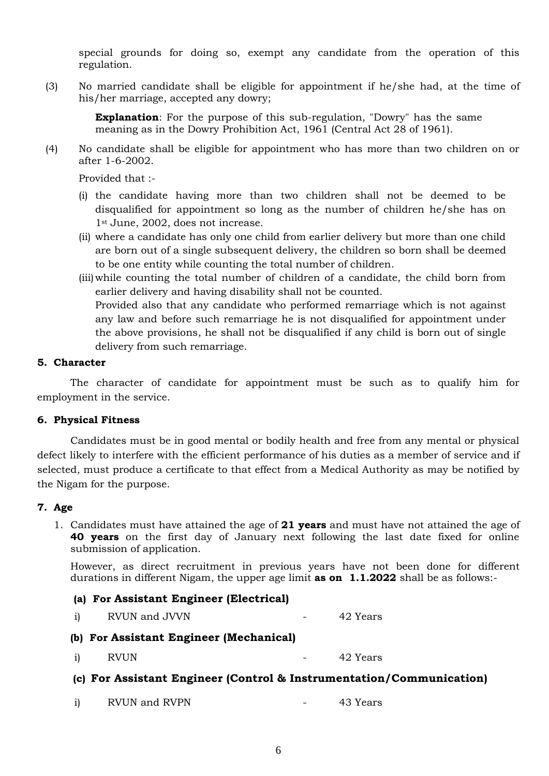special grounds for doing so, exempt any candidate from the operation of this regulation.

(3) No married candidate shall be eligible for appointment if he/she had, at the time of his/her marriage, accepted any dowry;

> **Explanation**: For the purpose of this sub-regulation, "Dowry" has the same meaning as in the Dowry Prohibition Act, 1961 (Central Act 28 of 1961).

(4) No candidate shall be eligible for appointment who has more than two children on or after 1-6-2002.

Provided that :-

- (i) the candidate having more than two children shall not be deemed to be disqualified for appointment so long as the number of children he/she has on 1st June, 2002, does not increase.
- (ii) where a candidate has only one child from earlier delivery but more than one child are born out of a single subsequent delivery, the children so born shall be deemed to be one entity while counting the total number of children.
- (iii)while counting the total number of children of a candidate, the child born from earlier delivery and having disability shall not be counted. Provided also that any candidate who performed remarriage which is not against

any law and before such remarriage he is not disqualified for appointment under the above provisions, he shall not be disqualified if any child is born out of single delivery from such remarriage.

#### **5. Character**

The character of candidate for appointment must be such as to qualify him for employment in the service.

#### **6. Physical Fitness**

Candidates must be in good mental or bodily health and free from any mental or physical defect likely to interfere with the efficient performance of his duties as a member of service and if selected, must produce a certificate to that effect from a Medical Authority as may be notified by the Nigam for the purpose.

#### **7. Age**

1. Candidates must have attained the age of **21 years** and must have not attained the age of **40 years** on the first day of January next following the last date fixed for online submission of application.

However, as direct recruitment in previous years have not been done for different durations in different Nigam, the upper age limit **as on 1.1.2022** shall be as follows:-

|              | (a) For Assistant Engineer (Electrical) |   |                                                                      |
|--------------|-----------------------------------------|---|----------------------------------------------------------------------|
| $\mathbf{i}$ | RVUN and JVVN                           |   | 42 Years                                                             |
|              | (b) For Assistant Engineer (Mechanical) |   |                                                                      |
| 1)           | <b>RVUN</b>                             |   | 42 Years                                                             |
|              |                                         |   | (c) For Assistant Engineer (Control & Instrumentation/Communication) |
| 1)           | RVUN and RVPN                           | - | 43 Years                                                             |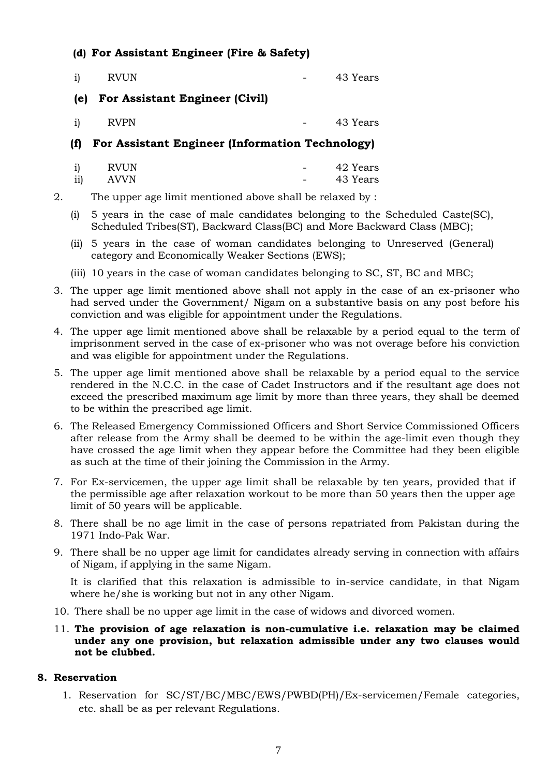### **(d) For Assistant Engineer (Fire & Safety)**

| i) | RVUN |  | - | 43 Years |
|----|------|--|---|----------|
|    |      |  |   |          |

### **(e) For Assistant Engineer (Civil)**

i) RVPN - 43 Years

### **(f) For Assistant Engineer (Information Technology)**

| $\mathbf{i}$    | RVUN | - | 42 Years |
|-----------------|------|---|----------|
| $\overline{ii}$ | AVVN | - | 43 Years |

- 2. The upper age limit mentioned above shall be relaxed by :
	- (i) 5 years in the case of male candidates belonging to the Scheduled Caste(SC), Scheduled Tribes(ST), Backward Class(BC) and More Backward Class (MBC);
	- (ii) 5 years in the case of woman candidates belonging to Unreserved (General) category and Economically Weaker Sections (EWS);
	- (iii) 10 years in the case of woman candidates belonging to SC, ST, BC and MBC;
- 3. The upper age limit mentioned above shall not apply in the case of an ex-prisoner who had served under the Government/ Nigam on a substantive basis on any post before his conviction and was eligible for appointment under the Regulations.
- 4. The upper age limit mentioned above shall be relaxable by a period equal to the term of imprisonment served in the case of ex-prisoner who was not overage before his conviction and was eligible for appointment under the Regulations.
- 5. The upper age limit mentioned above shall be relaxable by a period equal to the service rendered in the N.C.C. in the case of Cadet Instructors and if the resultant age does not exceed the prescribed maximum age limit by more than three years, they shall be deemed to be within the prescribed age limit.
- 6. The Released Emergency Commissioned Officers and Short Service Commissioned Officers after release from the Army shall be deemed to be within the age-limit even though they have crossed the age limit when they appear before the Committee had they been eligible as such at the time of their joining the Commission in the Army.
- 7. For Ex-servicemen, the upper age limit shall be relaxable by ten years, provided that if the permissible age after relaxation workout to be more than 50 years then the upper age limit of 50 years will be applicable.
- 8. There shall be no age limit in the case of persons repatriated from Pakistan during the 1971 Indo-Pak War.
- 9. There shall be no upper age limit for candidates already serving in connection with affairs of Nigam, if applying in the same Nigam.

It is clarified that this relaxation is admissible to in-service candidate, in that Nigam where he/she is working but not in any other Nigam.

- 10. There shall be no upper age limit in the case of widows and divorced women.
- 11. **The provision of age relaxation is non-cumulative i.e. relaxation may be claimed under any one provision, but relaxation admissible under any two clauses would not be clubbed.**

## **8. Reservation**

1. Reservation for SC/ST/BC/MBC/EWS/PWBD(PH)/Ex-servicemen/Female categories, etc. shall be as per relevant Regulations.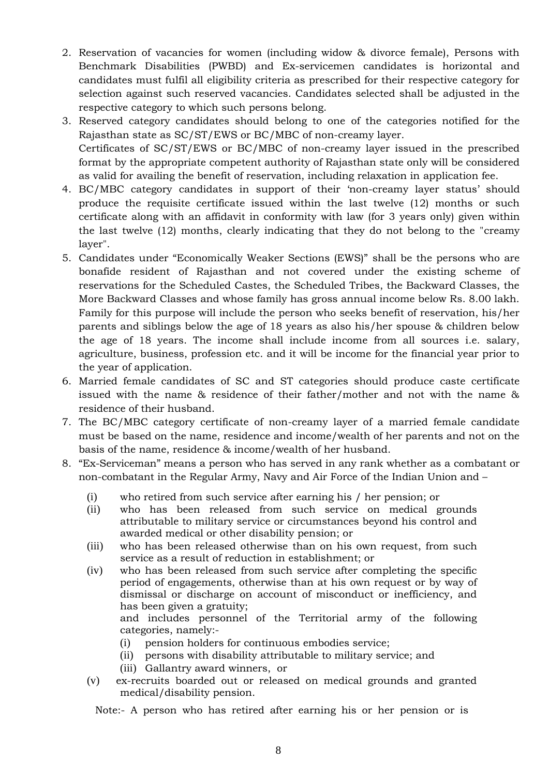- 2. Reservation of vacancies for women (including widow & divorce female), Persons with Benchmark Disabilities (PWBD) and Ex-servicemen candidates is horizontal and candidates must fulfil all eligibility criteria as prescribed for their respective category for selection against such reserved vacancies. Candidates selected shall be adjusted in the respective category to which such persons belong.
- 3. Reserved category candidates should belong to one of the categories notified for the Rajasthan state as SC/ST/EWS or BC/MBC of non-creamy layer. Certificates of SC/ST/EWS or BC/MBC of non-creamy layer issued in the prescribed format by the appropriate competent authority of Rajasthan state only will be considered as valid for availing the benefit of reservation, including relaxation in application fee.
- 4. BC/MBC category candidates in support of their 'non-creamy layer status' should produce the requisite certificate issued within the last twelve (12) months or such certificate along with an affidavit in conformity with law (for 3 years only) given within the last twelve (12) months, clearly indicating that they do not belong to the "creamy layer".
- 5. Candidates under "Economically Weaker Sections (EWS)" shall be the persons who are bonafide resident of Rajasthan and not covered under the existing scheme of reservations for the Scheduled Castes, the Scheduled Tribes, the Backward Classes, the More Backward Classes and whose family has gross annual income below Rs. 8.00 lakh. Family for this purpose will include the person who seeks benefit of reservation, his/her parents and siblings below the age of 18 years as also his/her spouse & children below the age of 18 years. The income shall include income from all sources i.e. salary, agriculture, business, profession etc. and it will be income for the financial year prior to the year of application.
- 6. Married female candidates of SC and ST categories should produce caste certificate issued with the name & residence of their father/mother and not with the name & residence of their husband.
- 7. The BC/MBC category certificate of non-creamy layer of a married female candidate must be based on the name, residence and income/wealth of her parents and not on the basis of the name, residence & income/wealth of her husband.
- 8. "Ex-Serviceman" means a person who has served in any rank whether as a combatant or non-combatant in the Regular Army, Navy and Air Force of the Indian Union and –
	- (i) who retired from such service after earning his / her pension; or
	- (ii) who has been released from such service on medical grounds attributable to military service or circumstances beyond his control and awarded medical or other disability pension; or
	- (iii) who has been released otherwise than on his own request, from such service as a result of reduction in establishment; or
	- (iv) who has been released from such service after completing the specific period of engagements, otherwise than at his own request or by way of dismissal or discharge on account of misconduct or inefficiency, and has been given a gratuity;

and includes personnel of the Territorial army of the following categories, namely:-

- (i) pension holders for continuous embodies service;
- (ii) persons with disability attributable to military service; and
- (iii) Gallantry award winners, or
- (v) ex-recruits boarded out or released on medical grounds and granted medical/disability pension.

Note:- A person who has retired after earning his or her pension or is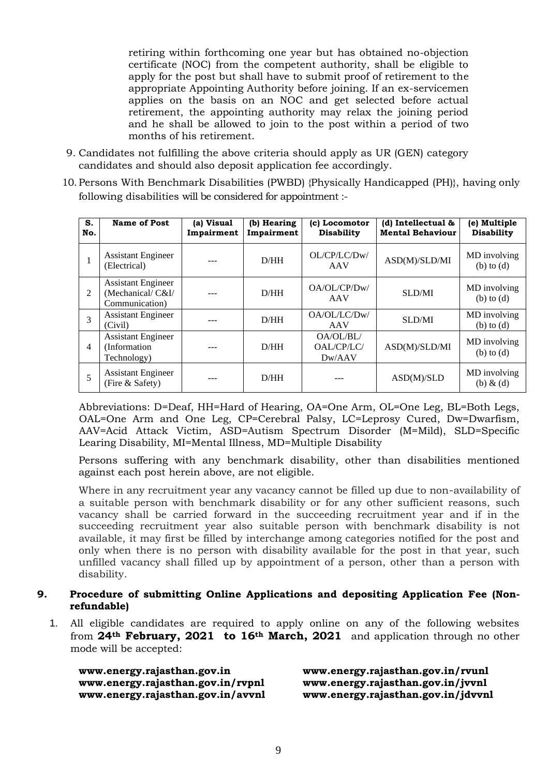retiring within forthcoming one year but has obtained no-objection certificate (NOC) from the competent authority, shall be eligible to apply for the post but shall have to submit proof of retirement to the appropriate Appointing Authority before joining. If an ex-servicemen applies on the basis on an NOC and get selected before actual retirement, the appointing authority may relax the joining period and he shall be allowed to join to the post within a period of two months of his retirement.

- 9. Candidates not fulfilling the above criteria should apply as UR (GEN) category candidates and should also deposit application fee accordingly.
- 10. Persons With Benchmark Disabilities (PWBD) {Physically Handicapped (PH)}, having only following disabilities will be considered for appointment :-

| S.<br>No.      | Name of Post                                                    | (a) Visual<br>Impairment | (b) Hearing<br>Impairment | (c) Locomotor<br><b>Disability</b> | (d) Intellectual &<br><b>Mental Behaviour</b> | (e) Multiple<br><b>Disability</b> |
|----------------|-----------------------------------------------------------------|--------------------------|---------------------------|------------------------------------|-----------------------------------------------|-----------------------------------|
|                | <b>Assistant Engineer</b><br>(Electrical)                       |                          | D/HH                      | OL/CP/LC/Dw/<br>AAV                | ASD(M)/SLD/MI                                 | MD involving<br>$(b)$ to $(d)$    |
| 2              | <b>Assistant Engineer</b><br>(Mechanical/C&I/<br>Communication) |                          | D/HH                      | OA/OL/CP/Dw/<br>AAV                | SLD/MI                                        | MD involving<br>$(b)$ to $(d)$    |
| 3              | <b>Assistant Engineer</b><br>(Civil)                            |                          | D/HH                      | OA/OL/LC/Dw/<br>AAV                | SLD/MI                                        | MD involving<br>$(b)$ to $(d)$    |
| $\overline{4}$ | <b>Assistant Engineer</b><br>(Information)<br>Technology)       |                          | D/HH                      | OA/OL/BL/<br>OAL/CP/LC/<br>Dw/AAV  | ASD(M)/SLD/MI                                 | MD involving<br>$(b)$ to $(d)$    |
| 5              | <b>Assistant Engineer</b><br>(Fire & Safety)                    |                          | D/HH                      |                                    | ASD(M)/SLD                                    | MD involving<br>$(b)$ & $(d)$     |

Abbreviations: D=Deaf, HH=Hard of Hearing, OA=One Arm, OL=One Leg, BL=Both Legs, OAL=One Arm and One Leg, CP=Cerebral Palsy, LC=Leprosy Cured, Dw=Dwarfism, AAV=Acid Attack Victim, ASD=Autism Spectrum Disorder (M=Mild), SLD=Specific Learing Disability, MI=Mental Illness, MD=Multiple Disability

Persons suffering with any benchmark disability, other than disabilities mentioned against each post herein above, are not eligible.

Where in any recruitment year any vacancy cannot be filled up due to non-availability of a suitable person with benchmark disability or for any other sufficient reasons, such vacancy shall be carried forward in the succeeding recruitment year and if in the succeeding recruitment year also suitable person with benchmark disability is not available, it may first be filled by interchange among categories notified for the post and only when there is no person with disability available for the post in that year, such unfilled vacancy shall filled up by appointment of a person, other than a person with disability.

#### **9. Procedure of submitting Online Applications and depositing Application Fee (Nonrefundable)**

1. All eligible candidates are required to apply online on any of the following websites from **24th February, 2021 to 16th March, 2021** and application through no other mode will be accepted:

**www.energy.rajasthan.gov.in/rvpnl www.energy.rajasthan.gov.in/jvvnl** 

**www.energy.rajasthan.gov.in www.energy.rajasthan.gov.in/rvunl www.energy.rajasthan.gov.in/avvnl [www.energy.rajasthan.gov.in/jdvvnl](http://www.energy.rajasthan.gov.in/jdvvnl)**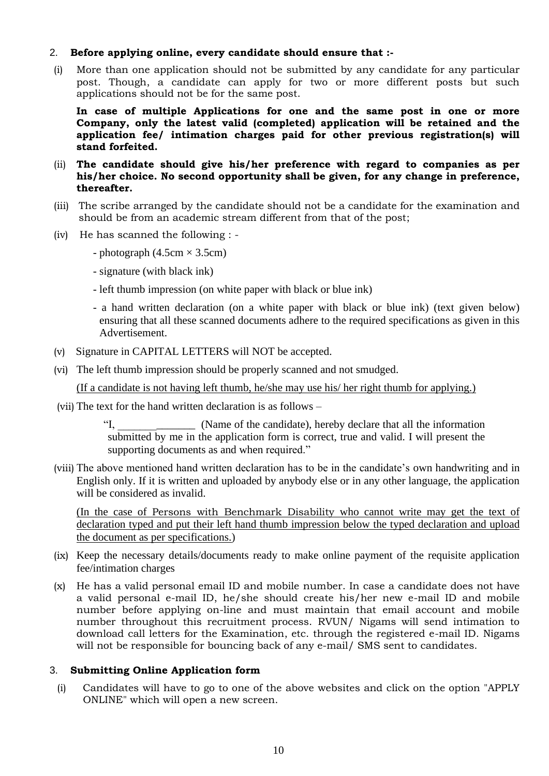#### 2. **Before applying online, every candidate should ensure that :-**

(i) More than one application should not be submitted by any candidate for any particular post. Though, a candidate can apply for two or more different posts but such applications should not be for the same post.

**In case of multiple Applications for one and the same post in one or more Company, only the latest valid (completed) application will be retained and the application fee/ intimation charges paid for other previous registration(s) will stand forfeited.**

- (ii) **The candidate should give his/her preference with regard to companies as per his/her choice. No second opportunity shall be given, for any change in preference, thereafter.**
- (iii) The scribe arranged by the candidate should not be a candidate for the examination and should be from an academic stream different from that of the post;
- (iv) He has scanned the following :
	- photograph  $(4.5cm \times 3.5cm)$
	- signature (with black ink)
	- left thumb impression (on white paper with black or blue ink)
	- a hand written declaration (on a white paper with black or blue ink) (text given below) ensuring that all these scanned documents adhere to the required specifications as given in this Advertisement.
- (v) Signature in CAPITAL LETTERS will NOT be accepted.
- (vi) The left thumb impression should be properly scanned and not smudged.

(If a candidate is not having left thumb, he/she may use his/ her right thumb for applying.)

(vii) The text for the hand written declaration is as follows –

(Name of the candidate), hereby declare that all the information submitted by me in the application form is correct, true and valid. I will present the supporting documents as and when required."

(viii) The above mentioned hand written declaration has to be in the candidate's own handwriting and in English only. If it is written and uploaded by anybody else or in any other language, the application will be considered as invalid.

(In the case of Persons with Benchmark Disability who cannot write may get the text of declaration typed and put their left hand thumb impression below the typed declaration and upload the document as per specifications.)

- (ix) Keep the necessary details/documents ready to make online payment of the requisite application fee/intimation charges
- (x) He has a valid personal email ID and mobile number. In case a candidate does not have a valid personal e-mail ID, he/she should create his/her new e-mail ID and mobile number before applying on-line and must maintain that email account and mobile number throughout this recruitment process. RVUN/ Nigams will send intimation to download call letters for the Examination, etc. through the registered e-mail ID. Nigams will not be responsible for bouncing back of any e-mail/ SMS sent to candidates.

#### 3. **Submitting Online Application form**

(i) Candidates will have to go to one of the above websites and click on the option "APPLY ONLINE" which will open a new screen.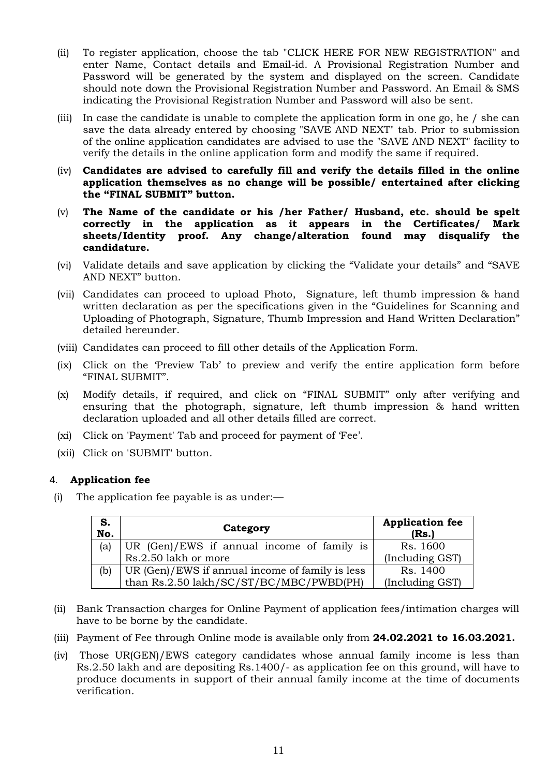- (ii) To register application, choose the tab "CLICK HERE FOR NEW REGISTRATION" and enter Name, Contact details and Email-id. A Provisional Registration Number and Password will be generated by the system and displayed on the screen. Candidate should note down the Provisional Registration Number and Password. An Email & SMS indicating the Provisional Registration Number and Password will also be sent.
- (iii) In case the candidate is unable to complete the application form in one go, he / she can save the data already entered by choosing "SAVE AND NEXT" tab. Prior to submission of the online application candidates are advised to use the "SAVE AND NEXT" facility to verify the details in the online application form and modify the same if required.
- (iv) **Candidates are advised to carefully fill and verify the details filled in the online application themselves as no change will be possible/ entertained after clicking the "FINAL SUBMIT" button.**
- (v) **The Name of the candidate or his /her Father/ Husband, etc. should be spelt correctly in the application as it appears in the Certificates/ Mark sheets/Identity proof. Any change/alteration found may disqualify the candidature.**
- (vi) Validate details and save application by clicking the "Validate your details" and "SAVE AND NEXT" button.
- (vii) Candidates can proceed to upload Photo, Signature, left thumb impression & hand written declaration as per the specifications given in the "Guidelines for Scanning and Uploading of Photograph, Signature, Thumb Impression and Hand Written Declaration" detailed hereunder.
- (viii) Candidates can proceed to fill other details of the Application Form.
- (ix) Click on the 'Preview Tab' to preview and verify the entire application form before "FINAL SUBMIT".
- (x) Modify details, if required, and click on "FINAL SUBMIT" only after verifying and ensuring that the photograph, signature, left thumb impression & hand written declaration uploaded and all other details filled are correct.
- (xi) Click on 'Payment' Tab and proceed for payment of 'Fee'.
- (xii) Click on 'SUBMIT' button.

#### 4. **Application fee**

(i) The application fee payable is as under:—

| S.<br>No. | Category                                        | <b>Application fee</b><br>(Rs.) |
|-----------|-------------------------------------------------|---------------------------------|
| (a)       | UR (Gen)/EWS if annual income of family is      | Rs. 1600                        |
|           | Rs.2.50 lakh or more                            | (Including GST)                 |
| (b)       | UR (Gen)/EWS if annual income of family is less | Rs. 1400                        |
|           | than Rs.2.50 lakh/SC/ST/BC/MBC/PWBD(PH)         | (Including GST)                 |

- (ii) Bank Transaction charges for Online Payment of application fees/intimation charges will have to be borne by the candidate.
- (iii) Payment of Fee through Online mode is available only from **24.02.2021 to 16.03.2021.**
- (iv) Those UR(GEN)/EWS category candidates whose annual family income is less than Rs.2.50 lakh and are depositing Rs.1400/- as application fee on this ground, will have to produce documents in support of their annual family income at the time of documents verification.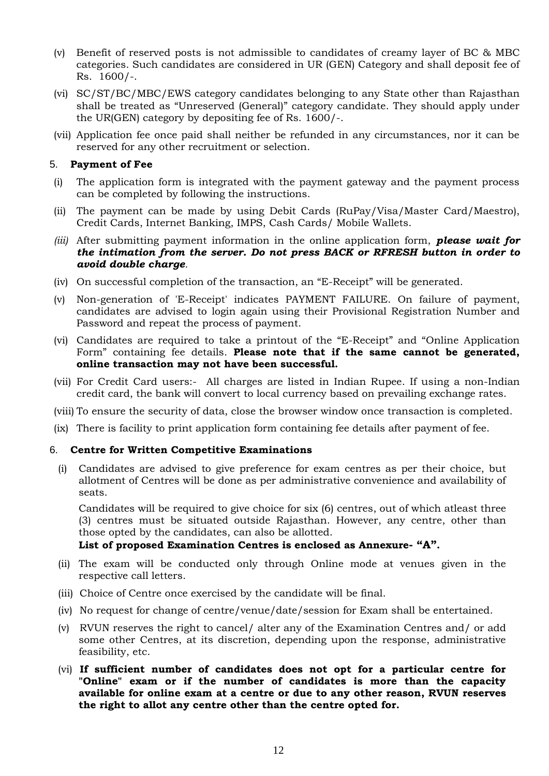- (v) Benefit of reserved posts is not admissible to candidates of creamy layer of BC & MBC categories. Such candidates are considered in UR (GEN) Category and shall deposit fee of Rs. 1600/-.
- (vi) SC/ST/BC/MBC/EWS category candidates belonging to any State other than Rajasthan shall be treated as "Unreserved (General)" category candidate. They should apply under the UR(GEN) category by depositing fee of Rs. 1600/-.
- (vii) Application fee once paid shall neither be refunded in any circumstances, nor it can be reserved for any other recruitment or selection.

#### 5. **Payment of Fee**

- (i) The application form is integrated with the payment gateway and the payment process can be completed by following the instructions.
- (ii) The payment can be made by using Debit Cards (RuPay/Visa/Master Card/Maestro), Credit Cards, Internet Banking, IMPS, Cash Cards/ Mobile Wallets.
- *(iii)* After submitting payment information in the online application form, *please wait for the intimation from the server. Do not press BACK or RFRESH button in order to avoid double charge.*
- (iv) On successful completion of the transaction, an "E-Receipt" will be generated.
- (v) Non-generation of 'E-Receipt' indicates PAYMENT FAILURE. On failure of payment, candidates are advised to login again using their Provisional Registration Number and Password and repeat the process of payment.
- (vi) Candidates are required to take a printout of the "E-Receipt" and "Online Application Form" containing fee details. **Please note that if the same cannot be generated, online transaction may not have been successful.**
- (vii) For Credit Card users:- All charges are listed in Indian Rupee. If using a non-Indian credit card, the bank will convert to local currency based on prevailing exchange rates.
- (viii) To ensure the security of data, close the browser window once transaction is completed.
- (ix) There is facility to print application form containing fee details after payment of fee.

#### 6. **Centre for Written Competitive Examinations**

(i) Candidates are advised to give preference for exam centres as per their choice, but allotment of Centres will be done as per administrative convenience and availability of seats.

Candidates will be required to give choice for six (6) centres, out of which atleast three (3) centres must be situated outside Rajasthan. However, any centre, other than those opted by the candidates, can also be allotted.

#### **List of proposed Examination Centres is enclosed as Annexure- "A".**

- (ii) The exam will be conducted only through Online mode at venues given in the respective call letters.
- (iii) Choice of Centre once exercised by the candidate will be final.
- (iv) No request for change of centre/venue/date/session for Exam shall be entertained.
- (v) RVUN reserves the right to cancel/ alter any of the Examination Centres and/ or add some other Centres, at its discretion, depending upon the response, administrative feasibility, etc.
- (vi) **If sufficient number of candidates does not opt for a particular centre for "Online" exam or if the number of candidates is more than the capacity available for online exam at a centre or due to any other reason, RVUN reserves the right to allot any centre other than the centre opted for.**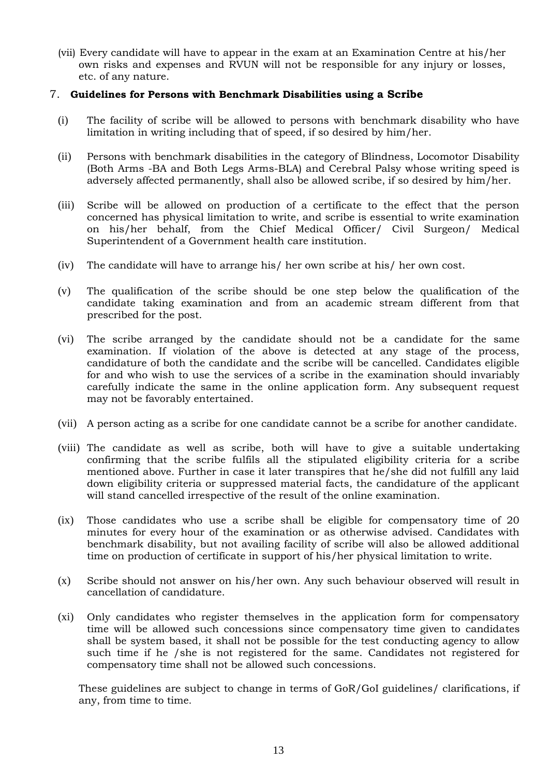(vii) Every candidate will have to appear in the exam at an Examination Centre at his/her own risks and expenses and RVUN will not be responsible for any injury or losses, etc. of any nature.

#### 7. **Guidelines for Persons with Benchmark Disabilities using a Scribe**

- (i) The facility of scribe will be allowed to persons with benchmark disability who have limitation in writing including that of speed, if so desired by him/her.
- (ii) Persons with benchmark disabilities in the category of Blindness, Locomotor Disability (Both Arms -BA and Both Legs Arms-BLA) and Cerebral Palsy whose writing speed is adversely affected permanently, shall also be allowed scribe, if so desired by him/her.
- (iii) Scribe will be allowed on production of a certificate to the effect that the person concerned has physical limitation to write, and scribe is essential to write examination on his/her behalf, from the Chief Medical Officer/ Civil Surgeon/ Medical Superintendent of a Government health care institution.
- (iv) The candidate will have to arrange his/ her own scribe at his/ her own cost.
- (v) The qualification of the scribe should be one step below the qualification of the candidate taking examination and from an academic stream different from that prescribed for the post.
- (vi) The scribe arranged by the candidate should not be a candidate for the same examination. If violation of the above is detected at any stage of the process, candidature of both the candidate and the scribe will be cancelled. Candidates eligible for and who wish to use the services of a scribe in the examination should invariably carefully indicate the same in the online application form. Any subsequent request may not be favorably entertained.
- (vii) A person acting as a scribe for one candidate cannot be a scribe for another candidate.
- (viii) The candidate as well as scribe, both will have to give a suitable undertaking confirming that the scribe fulfils all the stipulated eligibility criteria for a scribe mentioned above. Further in case it later transpires that he/she did not fulfill any laid down eligibility criteria or suppressed material facts, the candidature of the applicant will stand cancelled irrespective of the result of the online examination.
- (ix) Those candidates who use a scribe shall be eligible for compensatory time of 20 minutes for every hour of the examination or as otherwise advised. Candidates with benchmark disability, but not availing facility of scribe will also be allowed additional time on production of certificate in support of his/her physical limitation to write.
- (x) Scribe should not answer on his/her own. Any such behaviour observed will result in cancellation of candidature.
- (xi) Only candidates who register themselves in the application form for compensatory time will be allowed such concessions since compensatory time given to candidates shall be system based, it shall not be possible for the test conducting agency to allow such time if he /she is not registered for the same. Candidates not registered for compensatory time shall not be allowed such concessions.

These guidelines are subject to change in terms of GoR/GoI guidelines/ clarifications, if any, from time to time.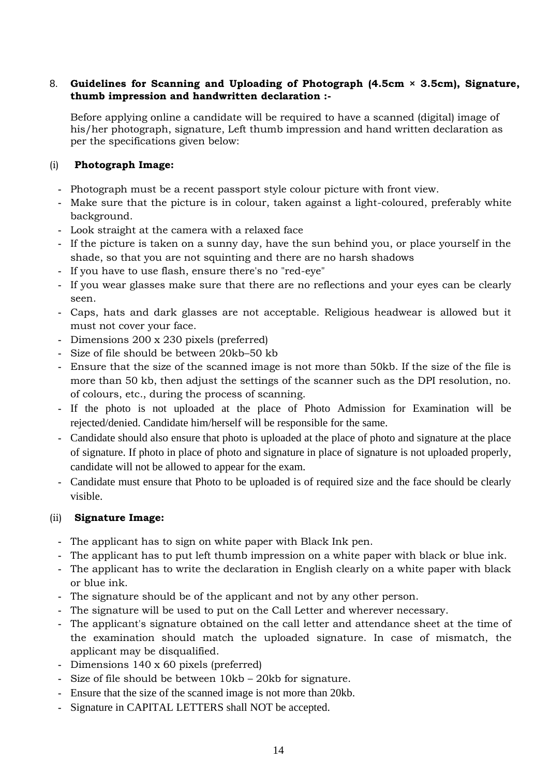#### 8. **Guidelines for Scanning and Uploading of Photograph (4.5cm × 3.5cm), Signature, thumb impression and handwritten declaration :-**

Before applying online a candidate will be required to have a scanned (digital) image of his/her photograph, signature, Left thumb impression and hand written declaration as per the specifications given below:

## (i) **Photograph Image:**

- **-** Photograph must be a recent passport style colour picture with front view.
- **-** Make sure that the picture is in colour, taken against a light-coloured, preferably white background.
- **-** Look straight at the camera with a relaxed face
- **-** If the picture is taken on a sunny day, have the sun behind you, or place yourself in the shade, so that you are not squinting and there are no harsh shadows
- **-** If you have to use flash, ensure there's no "red-eye"
- **-** If you wear glasses make sure that there are no reflections and your eyes can be clearly seen.
- **-** Caps, hats and dark glasses are not acceptable. Religious headwear is allowed but it must not cover your face.
- **-** Dimensions 200 x 230 pixels (preferred)
- **-** Size of file should be between 20kb–50 kb
- **-** Ensure that the size of the scanned image is not more than 50kb. If the size of the file is more than 50 kb, then adjust the settings of the scanner such as the DPI resolution, no. of colours, etc., during the process of scanning.
- **-** If the photo is not uploaded at the place of Photo Admission for Examination will be rejected/denied. Candidate him/herself will be responsible for the same.
- **-** Candidate should also ensure that photo is uploaded at the place of photo and signature at the place of signature. If photo in place of photo and signature in place of signature is not uploaded properly, candidate will not be allowed to appear for the exam.
- **-** Candidate must ensure that Photo to be uploaded is of required size and the face should be clearly visible.

## (ii) **Signature Image:**

- **-** The applicant has to sign on white paper with Black Ink pen.
- **-** The applicant has to put left thumb impression on a white paper with black or blue ink.
- **-** The applicant has to write the declaration in English clearly on a white paper with black or blue ink.
- **-** The signature should be of the applicant and not by any other person.
- **-** The signature will be used to put on the Call Letter and wherever necessary.
- **-** The applicant's signature obtained on the call letter and attendance sheet at the time of the examination should match the uploaded signature. In case of mismatch, the applicant may be disqualified.
- **-** Dimensions 140 x 60 pixels (preferred)
- **-** Size of file should be between 10kb 20kb for signature.
- **-** Ensure that the size of the scanned image is not more than 20kb.
- **-** Signature in CAPITAL LETTERS shall NOT be accepted.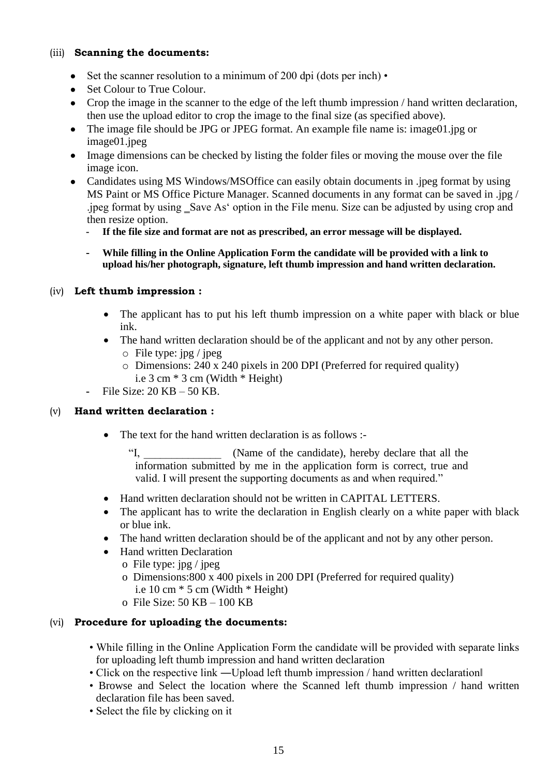#### (iii) **Scanning the documents:**

- Set the scanner resolution to a minimum of 200 dpi (dots per inch) •
- Set Colour to True Colour.
- Crop the image in the scanner to the edge of the left thumb impression / hand written declaration, then use the upload editor to crop the image to the final size (as specified above).
- The image file should be JPG or JPEG format. An example file name is: image01.jpg or image01.jpeg
- Image dimensions can be checked by listing the folder files or moving the mouse over the file image icon.
- Candidates using MS Windows/MSOffice can easily obtain documents in .jpeg format by using MS Paint or MS Office Picture Manager. Scanned documents in any format can be saved in .jpg / .jpeg format by using \_Save As' option in the File menu. Size can be adjusted by using crop and then resize option.
	- **- If the file size and format are not as prescribed, an error message will be displayed.**
	- **- While filling in the Online Application Form the candidate will be provided with a link to upload his/her photograph, signature, left thumb impression and hand written declaration.**

## (iv) **Left thumb impression :**

- The applicant has to put his left thumb impression on a white paper with black or blue ink.
- The hand written declaration should be of the applicant and not by any other person. o File type: jpg / jpeg
	- o Dimensions: 240 x 240 pixels in 200 DPI (Preferred for required quality) i.e 3 cm \* 3 cm (Width \* Height)
- **-** File Size: 20 KB 50 KB.

## (v) **Hand written declaration :**

The text for the hand written declaration is as follows :-

"I, (Name of the candidate), hereby declare that all the information submitted by me in the application form is correct, true and valid. I will present the supporting documents as and when required."

- Hand written declaration should not be written in CAPITAL LETTERS.
- The applicant has to write the declaration in English clearly on a white paper with black or blue ink.
- The hand written declaration should be of the applicant and not by any other person.
- Hand written Declaration
	- o File type: jpg / jpeg
	- o Dimensions:800 x 400 pixels in 200 DPI (Preferred for required quality) i.e 10 cm \* 5 cm (Width \* Height)
	- o File Size: 50 KB 100 KB

## (vi) **Procedure for uploading the documents:**

- While filling in the Online Application Form the candidate will be provided with separate links for uploading left thumb impression and hand written declaration
- Click on the respective link —Upload left thumb impression / hand written declaration
- Browse and Select the location where the Scanned left thumb impression / hand written declaration file has been saved.
- Select the file by clicking on it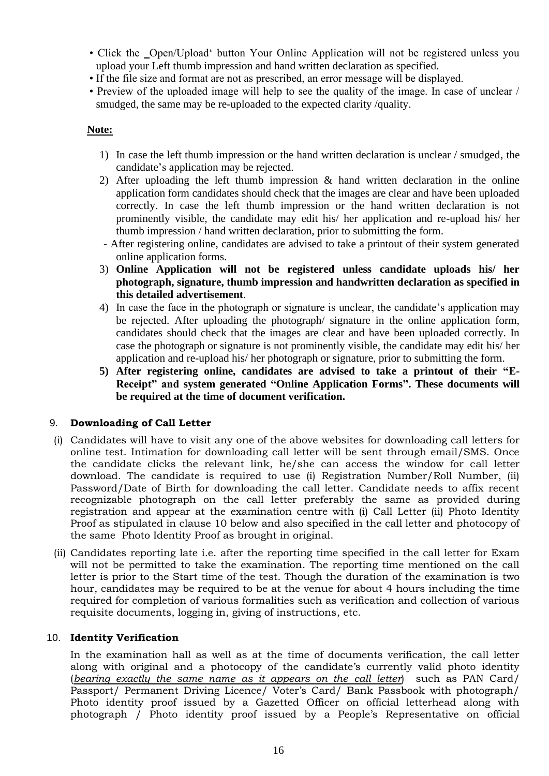- Click the \_Open/Upload' button Your Online Application will not be registered unless you upload your Left thumb impression and hand written declaration as specified.
- If the file size and format are not as prescribed, an error message will be displayed.
- Preview of the uploaded image will help to see the quality of the image. In case of unclear / smudged, the same may be re-uploaded to the expected clarity /quality.

## **Note:**

- 1) In case the left thumb impression or the hand written declaration is unclear / smudged, the candidate's application may be rejected.
- 2) After uploading the left thumb impression  $\&$  hand written declaration in the online application form candidates should check that the images are clear and have been uploaded correctly. In case the left thumb impression or the hand written declaration is not prominently visible, the candidate may edit his/ her application and re-upload his/ her thumb impression / hand written declaration, prior to submitting the form.
- After registering online, candidates are advised to take a printout of their system generated online application forms.
- 3) **Online Application will not be registered unless candidate uploads his/ her photograph, signature, thumb impression and handwritten declaration as specified in this detailed advertisement**.
- 4) In case the face in the photograph or signature is unclear, the candidate's application may be rejected. After uploading the photograph/ signature in the online application form, candidates should check that the images are clear and have been uploaded correctly. In case the photograph or signature is not prominently visible, the candidate may edit his/ her application and re-upload his/ her photograph or signature, prior to submitting the form.
- **5) After registering online, candidates are advised to take a printout of their "E-Receipt" and system generated "Online Application Forms". These documents will be required at the time of document verification.**

## 9. **Downloading of Call Letter**

- (i) Candidates will have to visit any one of the above websites for downloading call letters for online test. Intimation for downloading call letter will be sent through email/SMS. Once the candidate clicks the relevant link, he/she can access the window for call letter download. The candidate is required to use (i) Registration Number/Roll Number, (ii) Password/Date of Birth for downloading the call letter. Candidate needs to affix recent recognizable photograph on the call letter preferably the same as provided during registration and appear at the examination centre with (i) Call Letter (ii) Photo Identity Proof as stipulated in clause 10 below and also specified in the call letter and photocopy of the same Photo Identity Proof as brought in original.
- (ii) Candidates reporting late i.e. after the reporting time specified in the call letter for Exam will not be permitted to take the examination. The reporting time mentioned on the call letter is prior to the Start time of the test. Though the duration of the examination is two hour, candidates may be required to be at the venue for about 4 hours including the time required for completion of various formalities such as verification and collection of various requisite documents, logging in, giving of instructions, etc.

#### 10. **Identity Verification**

In the examination hall as well as at the time of documents verification, the call letter along with original and a photocopy of the candidate's currently valid photo identity (*bearing exactly the same name as it appears on the call letter*) such as PAN Card/ Passport/ Permanent Driving Licence/ Voter's Card/ Bank Passbook with photograph/ Photo identity proof issued by a Gazetted Officer on official letterhead along with photograph / Photo identity proof issued by a People's Representative on official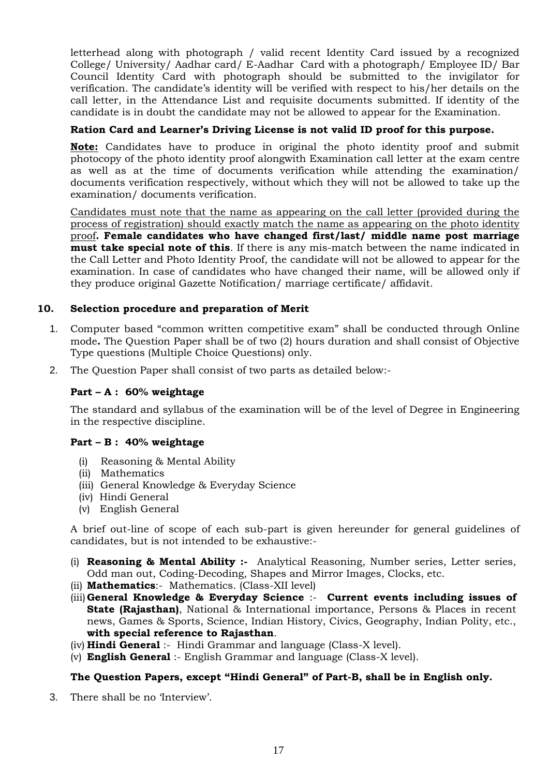letterhead along with photograph / valid recent Identity Card issued by a recognized College/ University/ Aadhar card/ E-Aadhar Card with a photograph/ Employee ID/ Bar Council Identity Card with photograph should be submitted to the invigilator for verification. The candidate's identity will be verified with respect to his/her details on the call letter, in the Attendance List and requisite documents submitted. If identity of the candidate is in doubt the candidate may not be allowed to appear for the Examination.

### **Ration Card and Learner's Driving License is not valid ID proof for this purpose.**

**Note:** Candidates have to produce in original the photo identity proof and submit photocopy of the photo identity proof alongwith Examination call letter at the exam centre as well as at the time of documents verification while attending the examination/ documents verification respectively, without which they will not be allowed to take up the examination/ documents verification.

Candidates must note that the name as appearing on the call letter (provided during the process of registration) should exactly match the name as appearing on the photo identity proof**. Female candidates who have changed first/last/ middle name post marriage must take special note of this**. If there is any mis-match between the name indicated in the Call Letter and Photo Identity Proof, the candidate will not be allowed to appear for the examination. In case of candidates who have changed their name, will be allowed only if they produce original Gazette Notification/ marriage certificate/ affidavit.

#### **10. Selection procedure and preparation of Merit**

- 1. Computer based "common written competitive exam" shall be conducted through Online mode**.** The Question Paper shall be of two (2) hours duration and shall consist of Objective Type questions (Multiple Choice Questions) only.
- 2. The Question Paper shall consist of two parts as detailed below:-

#### **Part – A : 60% weightage**

The standard and syllabus of the examination will be of the level of Degree in Engineering in the respective discipline.

#### **Part – B : 40% weightage**

- (i) Reasoning & Mental Ability
- (ii) Mathematics
- (iii) General Knowledge & Everyday Science
- (iv) Hindi General
- (v) English General

A brief out-line of scope of each sub-part is given hereunder for general guidelines of candidates, but is not intended to be exhaustive:-

- (i) **Reasoning & Mental Ability :-** Analytical Reasoning, Number series, Letter series, Odd man out, Coding-Decoding, Shapes and Mirror Images, Clocks, etc.
- (ii) **Mathematics**:- Mathematics. (Class-XII level)
- (iii)**General Knowledge & Everyday Science** :- **Current events including issues of State (Rajasthan)**, National & International importance, Persons & Places in recent news, Games & Sports, Science, Indian History, Civics, Geography, Indian Polity, etc., **with special reference to Rajasthan**.
- (iv) **Hindi General** :- Hindi Grammar and language (Class-X level).
- (v) **English General** :- English Grammar and language (Class-X level).

#### **The Question Papers, except "Hindi General" of Part-B, shall be in English only.**

3. There shall be no 'Interview'.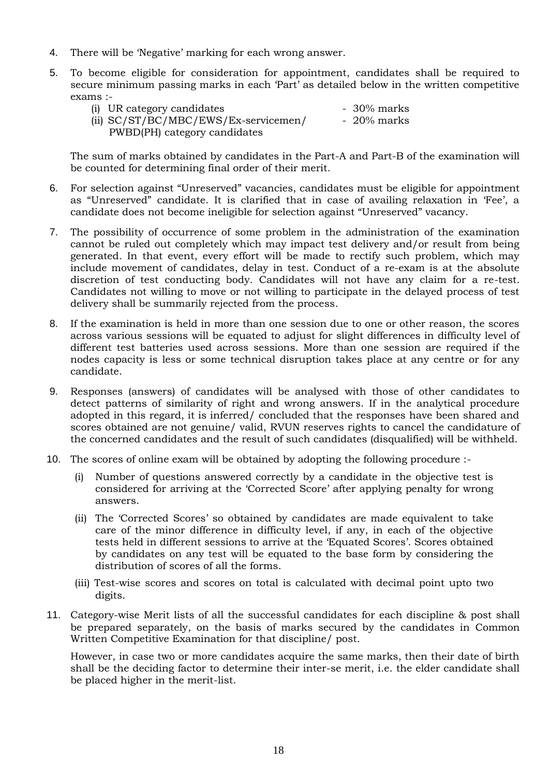- 4. There will be 'Negative' marking for each wrong answer.
- 5. To become eligible for consideration for appointment, candidates shall be required to secure minimum passing marks in each 'Part' as detailed below in the written competitive exams :-
	- (i) UR category candidates 30% marks (ii) SC/ST/BC/MBC/EWS/Ex-servicemen/ - 20% marks PWBD(PH) category candidates

The sum of marks obtained by candidates in the Part-A and Part-B of the examination will be counted for determining final order of their merit.

- 6. For selection against "Unreserved" vacancies, candidates must be eligible for appointment as "Unreserved" candidate. It is clarified that in case of availing relaxation in 'Fee', a candidate does not become ineligible for selection against "Unreserved" vacancy.
- 7. The possibility of occurrence of some problem in the administration of the examination cannot be ruled out completely which may impact test delivery and/or result from being generated. In that event, every effort will be made to rectify such problem, which may include movement of candidates, delay in test. Conduct of a re-exam is at the absolute discretion of test conducting body. Candidates will not have any claim for a re-test. Candidates not willing to move or not willing to participate in the delayed process of test delivery shall be summarily rejected from the process.
- 8. If the examination is held in more than one session due to one or other reason, the scores across various sessions will be equated to adjust for slight differences in difficulty level of different test batteries used across sessions. More than one session are required if the nodes capacity is less or some technical disruption takes place at any centre or for any candidate.
- 9. Responses (answers) of candidates will be analysed with those of other candidates to detect patterns of similarity of right and wrong answers. If in the analytical procedure adopted in this regard, it is inferred/ concluded that the responses have been shared and scores obtained are not genuine/ valid, RVUN reserves rights to cancel the candidature of the concerned candidates and the result of such candidates (disqualified) will be withheld.
- 10. The scores of online exam will be obtained by adopting the following procedure :-
	- (i) Number of questions answered correctly by a candidate in the objective test is considered for arriving at the 'Corrected Score' after applying penalty for wrong answers.
	- (ii) The 'Corrected Scores' so obtained by candidates are made equivalent to take care of the minor difference in difficulty level, if any, in each of the objective tests held in different sessions to arrive at the 'Equated Scores'. Scores obtained by candidates on any test will be equated to the base form by considering the distribution of scores of all the forms.
	- (iii) Test-wise scores and scores on total is calculated with decimal point upto two digits.
- 11. Category-wise Merit lists of all the successful candidates for each discipline & post shall be prepared separately, on the basis of marks secured by the candidates in Common Written Competitive Examination for that discipline/ post.

However, in case two or more candidates acquire the same marks, then their date of birth shall be the deciding factor to determine their inter-se merit, i.e. the elder candidate shall be placed higher in the merit-list.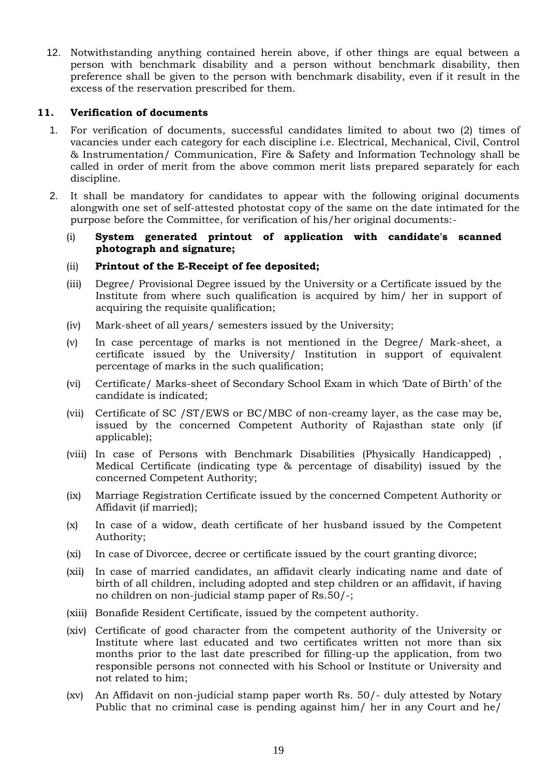12. Notwithstanding anything contained herein above, if other things are equal between a person with benchmark disability and a person without benchmark disability, then preference shall be given to the person with benchmark disability, even if it result in the excess of the reservation prescribed for them.

#### **11. Verification of documents**

- 1. For verification of documents, successful candidates limited to about two (2) times of vacancies under each category for each discipline i.e. Electrical, Mechanical, Civil, Control & Instrumentation/ Communication, Fire & Safety and Information Technology shall be called in order of merit from the above common merit lists prepared separately for each discipline.
- 2. It shall be mandatory for candidates to appear with the following original documents alongwith one set of self-attested photostat copy of the same on the date intimated for the purpose before the Committee, for verification of his/her original documents:-
	- (i) **System generated printout of application with candidate's scanned photograph and signature;**

#### (ii) **Printout of the E-Receipt of fee deposited;**

- (iii) Degree/ Provisional Degree issued by the University or a Certificate issued by the Institute from where such qualification is acquired by him/ her in support of acquiring the requisite qualification;
- (iv) Mark-sheet of all years/ semesters issued by the University;
- (v) In case percentage of marks is not mentioned in the Degree/ Mark-sheet, a certificate issued by the University/ Institution in support of equivalent percentage of marks in the such qualification;
- (vi) Certificate/ Marks-sheet of Secondary School Exam in which 'Date of Birth' of the candidate is indicated;
- (vii) Certificate of SC /ST/EWS or BC/MBC of non-creamy layer, as the case may be, issued by the concerned Competent Authority of Rajasthan state only (if applicable);
- (viii) In case of Persons with Benchmark Disabilities (Physically Handicapped) , Medical Certificate (indicating type & percentage of disability) issued by the concerned Competent Authority;
- (ix) Marriage Registration Certificate issued by the concerned Competent Authority or Affidavit (if married);
- (x) In case of a widow, death certificate of her husband issued by the Competent Authority;
- (xi) In case of Divorcee, decree or certificate issued by the court granting divorce;
- (xii) In case of married candidates, an affidavit clearly indicating name and date of birth of all children, including adopted and step children or an affidavit, if having no children on non-judicial stamp paper of Rs.50/-;
- (xiii) Bonafide Resident Certificate, issued by the competent authority.
- (xiv) Certificate of good character from the competent authority of the University or Institute where last educated and two certificates written not more than six months prior to the last date prescribed for filling-up the application, from two responsible persons not connected with his School or Institute or University and not related to him;
- (xv) An Affidavit on non-judicial stamp paper worth Rs. 50/- duly attested by Notary Public that no criminal case is pending against him/ her in any Court and he/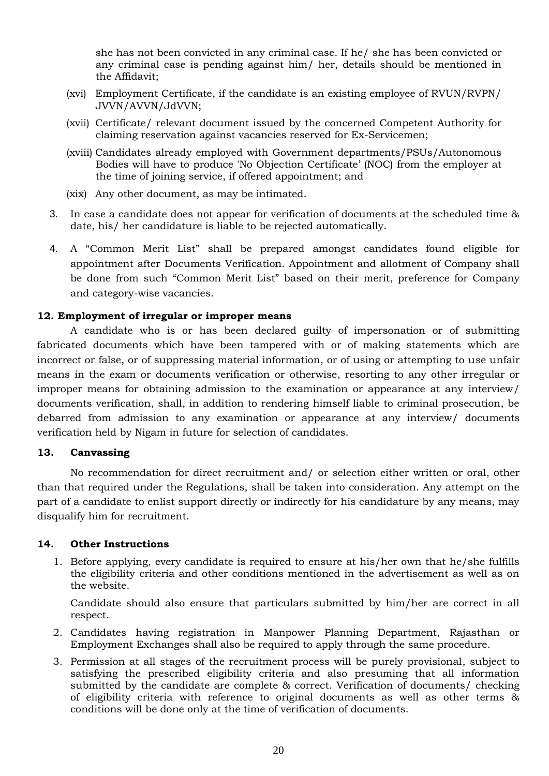she has not been convicted in any criminal case. If he/ she has been convicted or any criminal case is pending against him/ her, details should be mentioned in the Affidavit;

- (xvi) Employment Certificate, if the candidate is an existing employee of RVUN/RVPN/ JVVN/AVVN/JdVVN;
- (xvii) Certificate/ relevant document issued by the concerned Competent Authority for claiming reservation against vacancies reserved for Ex-Servicemen;
- (xviii) Candidates already employed with Government departments/PSUs/Autonomous Bodies will have to produce 'No Objection Certificate' (NOC) from the employer at the time of joining service, if offered appointment; and

(xix) Any other document, as may be intimated.

- 3. In case a candidate does not appear for verification of documents at the scheduled time & date, his/ her candidature is liable to be rejected automatically.
- 4. A "Common Merit List" shall be prepared amongst candidates found eligible for appointment after Documents Verification. Appointment and allotment of Company shall be done from such "Common Merit List" based on their merit, preference for Company and category-wise vacancies.

#### **12. Employment of irregular or improper means**

A candidate who is or has been declared guilty of impersonation or of submitting fabricated documents which have been tampered with or of making statements which are incorrect or false, or of suppressing material information, or of using or attempting to use unfair means in the exam or documents verification or otherwise, resorting to any other irregular or improper means for obtaining admission to the examination or appearance at any interview/ documents verification, shall, in addition to rendering himself liable to criminal prosecution, be debarred from admission to any examination or appearance at any interview/ documents verification held by Nigam in future for selection of candidates.

#### **13. Canvassing**

No recommendation for direct recruitment and/ or selection either written or oral, other than that required under the Regulations, shall be taken into consideration. Any attempt on the part of a candidate to enlist support directly or indirectly for his candidature by any means, may disqualify him for recruitment.

#### **14. Other Instructions**

1. Before applying, every candidate is required to ensure at his/her own that he/she fulfills the eligibility criteria and other conditions mentioned in the advertisement as well as on the website.

Candidate should also ensure that particulars submitted by him/her are correct in all respect.

- 2. Candidates having registration in Manpower Planning Department, Rajasthan or Employment Exchanges shall also be required to apply through the same procedure.
- 3. Permission at all stages of the recruitment process will be purely provisional, subject to satisfying the prescribed eligibility criteria and also presuming that all information submitted by the candidate are complete & correct. Verification of documents/ checking of eligibility criteria with reference to original documents as well as other terms & conditions will be done only at the time of verification of documents.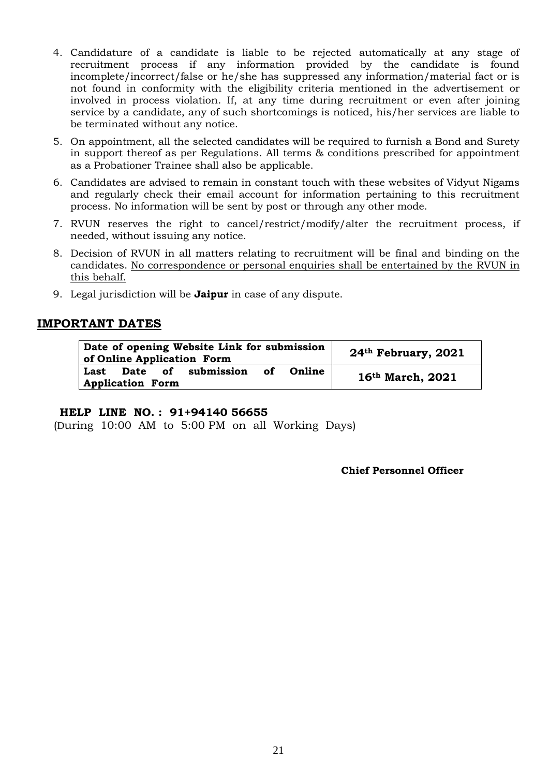- 4. Candidature of a candidate is liable to be rejected automatically at any stage of recruitment process if any information provided by the candidate is found incomplete/incorrect/false or he/she has suppressed any information/material fact or is not found in conformity with the eligibility criteria mentioned in the advertisement or involved in process violation. If, at any time during recruitment or even after joining service by a candidate, any of such shortcomings is noticed, his/her services are liable to be terminated without any notice.
- 5. On appointment, all the selected candidates will be required to furnish a Bond and Surety in support thereof as per Regulations. All terms & conditions prescribed for appointment as a Probationer Trainee shall also be applicable.
- 6. Candidates are advised to remain in constant touch with these websites of Vidyut Nigams and regularly check their email account for information pertaining to this recruitment process. No information will be sent by post or through any other mode.
- 7. RVUN reserves the right to cancel/restrict/modify/alter the recruitment process, if needed, without issuing any notice.
- 8. Decision of RVUN in all matters relating to recruitment will be final and binding on the candidates. No correspondence or personal enquiries shall be entertained by the RVUN in this behalf.
- 9. Legal jurisdiction will be **Jaipur** in case of any dispute.

#### **IMPORTANT DATES**

| Date of opening Website Link for submission<br>of Online Application Form | 24 <sup>th</sup> February, 2021 |
|---------------------------------------------------------------------------|---------------------------------|
| Date of submission<br>Online<br>Last<br>of<br><b>Application Form</b>     | 16th March, 2021                |

#### **HELP LINE NO. : 91+94140 56655**

(During 10:00 AM to 5:00 PM on all Working Days)

**Chief Personnel Officer**